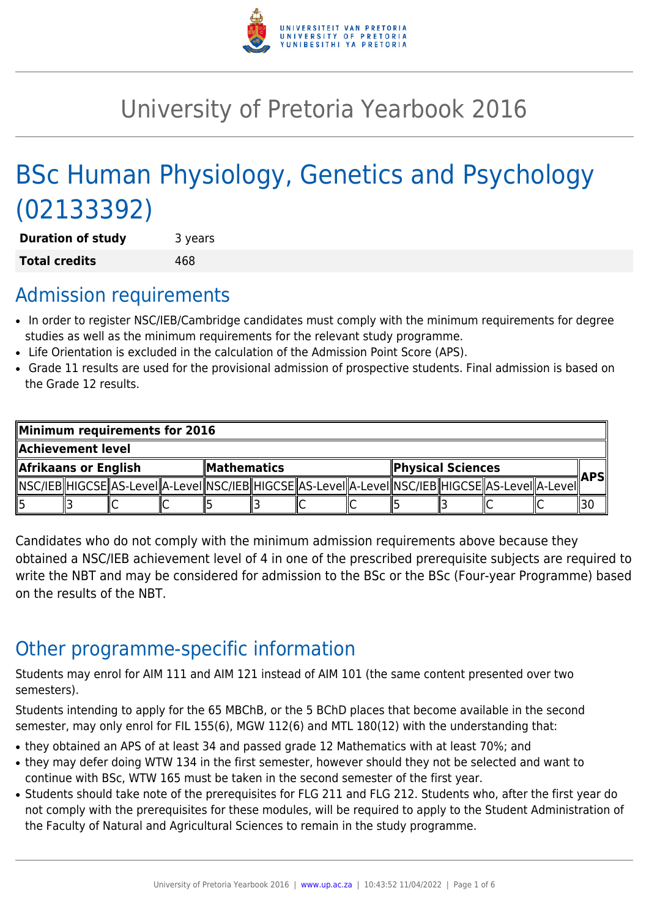

# University of Pretoria Yearbook 2016

# BSc Human Physiology, Genetics and Psychology (02133392)

**Duration of study** 3 years **Total credits** 468

# Admission requirements

- In order to register NSC/IEB/Cambridge candidates must comply with the minimum requirements for degree studies as well as the minimum requirements for the relevant study programme.
- Life Orientation is excluded in the calculation of the Admission Point Score (APS).
- Grade 11 results are used for the provisional admission of prospective students. Final admission is based on the Grade 12 results.

| Minimum requirements for 2016 |  |  |  |                            |  |  |  |                   |  |                                                                                                            |  |     |
|-------------------------------|--|--|--|----------------------------|--|--|--|-------------------|--|------------------------------------------------------------------------------------------------------------|--|-----|
| Achievement level.            |  |  |  |                            |  |  |  |                   |  |                                                                                                            |  |     |
| Afrikaans or English          |  |  |  | $\blacksquare$ Mathematics |  |  |  | Physical Sciences |  |                                                                                                            |  | APS |
|                               |  |  |  |                            |  |  |  |                   |  | NSC/IEB  HIGCSE  AS-LeveI  A-LeveI  NSC/IEB  HIGCSE  AS-LeveI  A-LeveI  NSC/IEB  HIGCSE  AS-LeveI  A-LeveI |  |     |
| 15                            |  |  |  |                            |  |  |  |                   |  |                                                                                                            |  |     |

Candidates who do not comply with the minimum admission requirements above because they obtained a NSC/IEB achievement level of 4 in one of the prescribed prerequisite subjects are required to write the NBT and may be considered for admission to the BSc or the BSc (Four-year Programme) based on the results of the NBT.

# Other programme-specific information

Students may enrol for AIM 111 and AIM 121 instead of AIM 101 (the same content presented over two semesters).

Students intending to apply for the 65 MBChB, or the 5 BChD places that become available in the second semester, may only enrol for FIL 155(6), MGW 112(6) and MTL 180(12) with the understanding that:

- they obtained an APS of at least 34 and passed grade 12 Mathematics with at least 70%; and
- they may defer doing WTW 134 in the first semester, however should they not be selected and want to continue with BSc, WTW 165 must be taken in the second semester of the first year.
- Students should take note of the prerequisites for FLG 211 and FLG 212. Students who, after the first year do not comply with the prerequisites for these modules, will be required to apply to the Student Administration of the Faculty of Natural and Agricultural Sciences to remain in the study programme.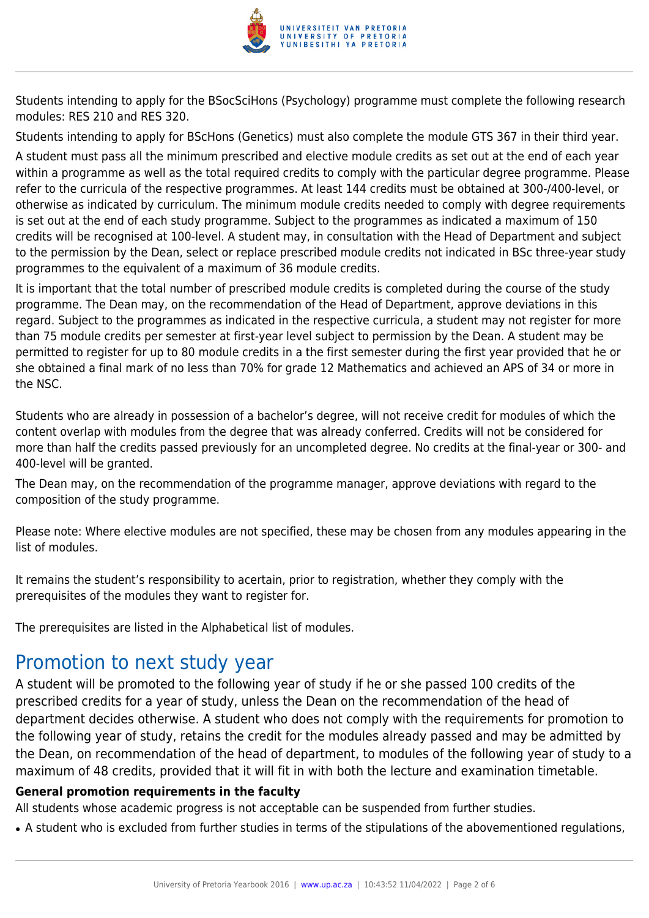

Students intending to apply for the BSocSciHons (Psychology) programme must complete the following research modules: RES 210 and RES 320.

Students intending to apply for BScHons (Genetics) must also complete the module GTS 367 in their third year.

A student must pass all the minimum prescribed and elective module credits as set out at the end of each year within a programme as well as the total required credits to comply with the particular degree programme. Please refer to the curricula of the respective programmes. At least 144 credits must be obtained at 300-/400-level, or otherwise as indicated by curriculum. The minimum module credits needed to comply with degree requirements is set out at the end of each study programme. Subject to the programmes as indicated a maximum of 150 credits will be recognised at 100-level. A student may, in consultation with the Head of Department and subject to the permission by the Dean, select or replace prescribed module credits not indicated in BSc three-year study programmes to the equivalent of a maximum of 36 module credits.

It is important that the total number of prescribed module credits is completed during the course of the study programme. The Dean may, on the recommendation of the Head of Department, approve deviations in this regard. Subject to the programmes as indicated in the respective curricula, a student may not register for more than 75 module credits per semester at first-year level subject to permission by the Dean. A student may be permitted to register for up to 80 module credits in a the first semester during the first year provided that he or she obtained a final mark of no less than 70% for grade 12 Mathematics and achieved an APS of 34 or more in the NSC.

Students who are already in possession of a bachelor's degree, will not receive credit for modules of which the content overlap with modules from the degree that was already conferred. Credits will not be considered for more than half the credits passed previously for an uncompleted degree. No credits at the final-year or 300- and 400-level will be granted.

The Dean may, on the recommendation of the programme manager, approve deviations with regard to the composition of the study programme.

Please note: Where elective modules are not specified, these may be chosen from any modules appearing in the list of modules.

It remains the student's responsibility to acertain, prior to registration, whether they comply with the prerequisites of the modules they want to register for.

The prerequisites are listed in the Alphabetical list of modules.

# Promotion to next study year

A student will be promoted to the following year of study if he or she passed 100 credits of the prescribed credits for a year of study, unless the Dean on the recommendation of the head of department decides otherwise. A student who does not comply with the requirements for promotion to the following year of study, retains the credit for the modules already passed and may be admitted by the Dean, on recommendation of the head of department, to modules of the following year of study to a maximum of 48 credits, provided that it will fit in with both the lecture and examination timetable.

#### **General promotion requirements in the faculty**

All students whose academic progress is not acceptable can be suspended from further studies.

• A student who is excluded from further studies in terms of the stipulations of the abovementioned regulations,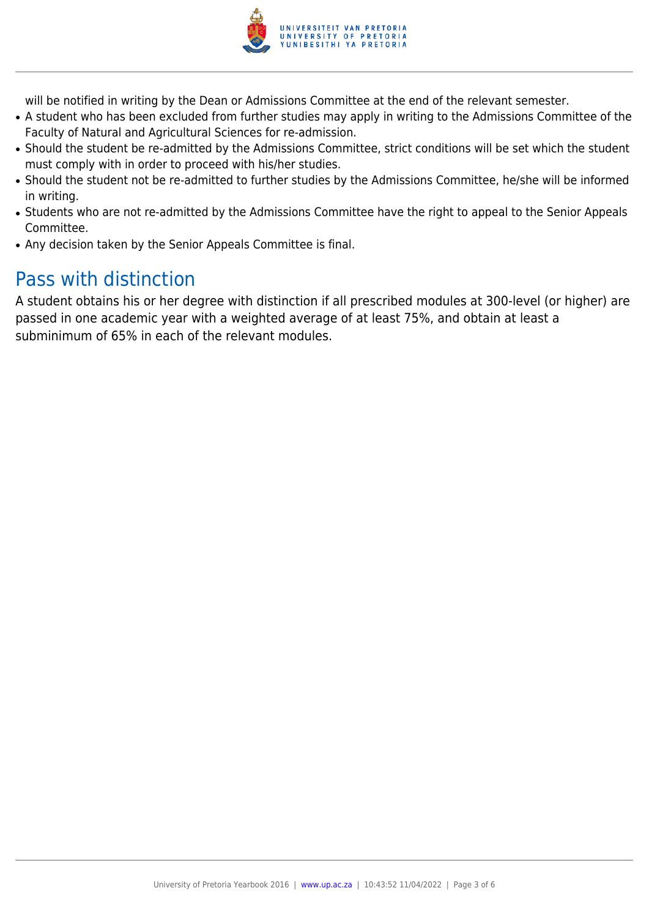

will be notified in writing by the Dean or Admissions Committee at the end of the relevant semester.

- A student who has been excluded from further studies may apply in writing to the Admissions Committee of the Faculty of Natural and Agricultural Sciences for re-admission.
- Should the student be re-admitted by the Admissions Committee, strict conditions will be set which the student must comply with in order to proceed with his/her studies.
- Should the student not be re-admitted to further studies by the Admissions Committee, he/she will be informed in writing.
- Students who are not re-admitted by the Admissions Committee have the right to appeal to the Senior Appeals Committee.
- Any decision taken by the Senior Appeals Committee is final.

### Pass with distinction

A student obtains his or her degree with distinction if all prescribed modules at 300-level (or higher) are passed in one academic year with a weighted average of at least 75%, and obtain at least a subminimum of 65% in each of the relevant modules.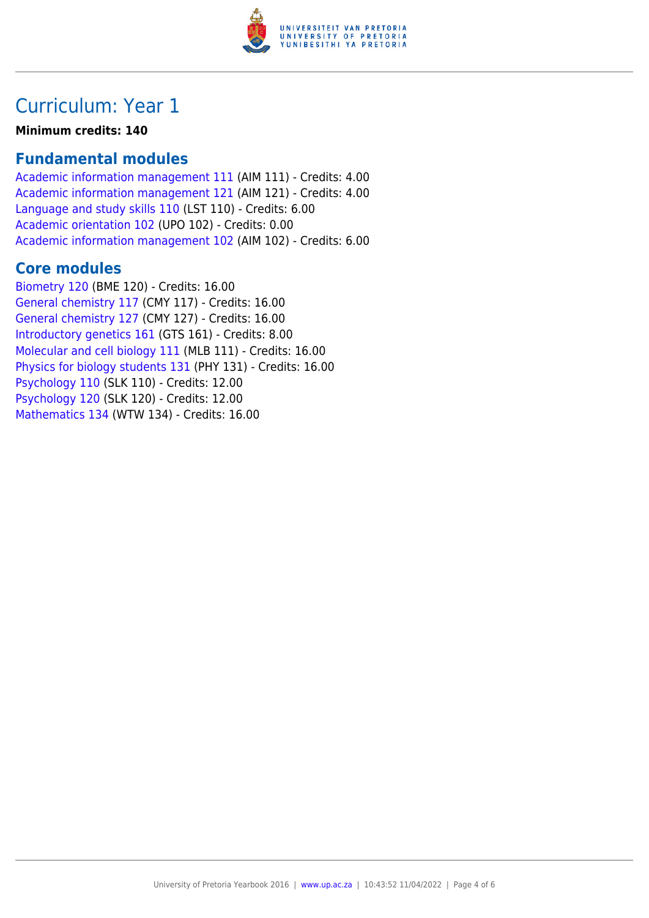

# Curriculum: Year 1

#### **Minimum credits: 140**

### **Fundamental modules**

[Academic information management 111](https://www.up.ac.za/yearbooks/2016/modules/view/AIM 111) (AIM 111) - Credits: 4.00 [Academic information management 121](https://www.up.ac.za/yearbooks/2016/modules/view/AIM 121) (AIM 121) - Credits: 4.00 [Language and study skills 110](https://www.up.ac.za/yearbooks/2016/modules/view/LST 110) (LST 110) - Credits: 6.00 [Academic orientation 102](https://www.up.ac.za/yearbooks/2016/modules/view/UPO 102) (UPO 102) - Credits: 0.00 [Academic information management 102](https://www.up.ac.za/yearbooks/2016/modules/view/AIM 102) (AIM 102) - Credits: 6.00

### **Core modules**

[Biometry 120](https://www.up.ac.za/yearbooks/2016/modules/view/BME 120) (BME 120) - Credits: 16.00 [General chemistry 117](https://www.up.ac.za/yearbooks/2016/modules/view/CMY 117) (CMY 117) - Credits: 16.00 [General chemistry 127](https://www.up.ac.za/yearbooks/2016/modules/view/CMY 127) (CMY 127) - Credits: 16.00 [Introductory genetics 161](https://www.up.ac.za/yearbooks/2016/modules/view/GTS 161) (GTS 161) - Credits: 8.00 [Molecular and cell biology 111](https://www.up.ac.za/yearbooks/2016/modules/view/MLB 111) (MLB 111) - Credits: 16.00 [Physics for biology students 131](https://www.up.ac.za/yearbooks/2016/modules/view/PHY 131) (PHY 131) - Credits: 16.00 [Psychology 110](https://www.up.ac.za/yearbooks/2016/modules/view/SLK 110) (SLK 110) - Credits: 12.00 [Psychology 120](https://www.up.ac.za/yearbooks/2016/modules/view/SLK 120) (SLK 120) - Credits: 12.00 [Mathematics 134](https://www.up.ac.za/yearbooks/2016/modules/view/WTW 134) (WTW 134) - Credits: 16.00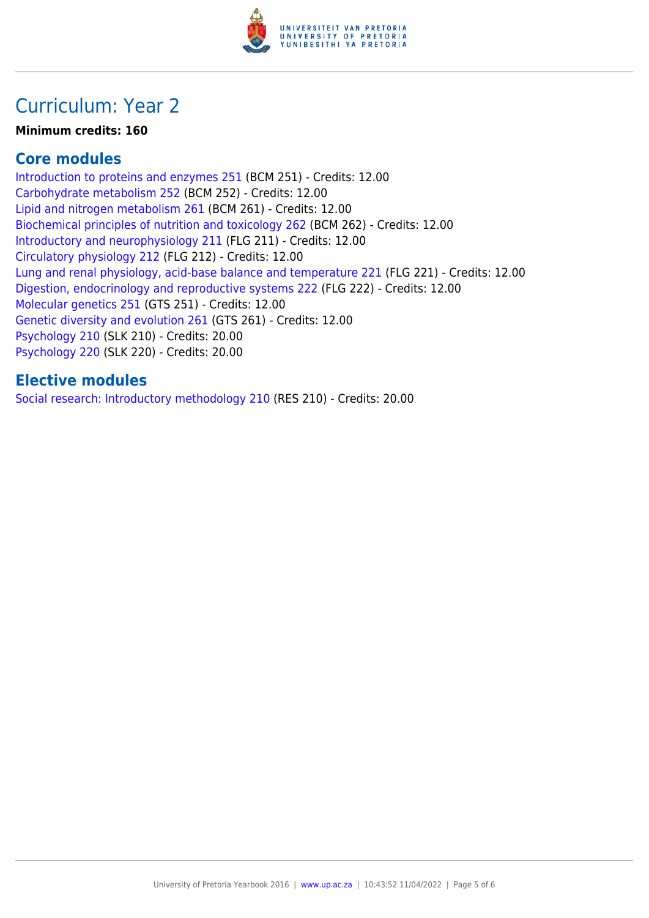

# Curriculum: Year 2

#### **Minimum credits: 160**

### **Core modules**

[Introduction to proteins and enzymes 251](https://www.up.ac.za/yearbooks/2016/modules/view/BCM 251) (BCM 251) - Credits: 12.00 [Carbohydrate metabolism 252](https://www.up.ac.za/yearbooks/2016/modules/view/BCM 252) (BCM 252) - Credits: 12.00 [Lipid and nitrogen metabolism 261](https://www.up.ac.za/yearbooks/2016/modules/view/BCM 261) (BCM 261) - Credits: 12.00 [Biochemical principles of nutrition and toxicology 262](https://www.up.ac.za/yearbooks/2016/modules/view/BCM 262) (BCM 262) - Credits: 12.00 [Introductory and neurophysiology 211](https://www.up.ac.za/yearbooks/2016/modules/view/FLG 211) (FLG 211) - Credits: 12.00 [Circulatory physiology 212](https://www.up.ac.za/yearbooks/2016/modules/view/FLG 212) (FLG 212) - Credits: 12.00 [Lung and renal physiology, acid-base balance and temperature 221](https://www.up.ac.za/yearbooks/2016/modules/view/FLG 221) (FLG 221) - Credits: 12.00 [Digestion, endocrinology and reproductive systems 222](https://www.up.ac.za/yearbooks/2016/modules/view/FLG 222) (FLG 222) - Credits: 12.00 [Molecular genetics 251](https://www.up.ac.za/yearbooks/2016/modules/view/GTS 251) (GTS 251) - Credits: 12.00 [Genetic diversity and evolution 261](https://www.up.ac.za/yearbooks/2016/modules/view/GTS 261) (GTS 261) - Credits: 12.00 [Psychology 210](https://www.up.ac.za/yearbooks/2016/modules/view/SLK 210) (SLK 210) - Credits: 20.00 [Psychology 220](https://www.up.ac.za/yearbooks/2016/modules/view/SLK 220) (SLK 220) - Credits: 20.00

### **Elective modules**

[Social research: Introductory methodology 210](https://www.up.ac.za/yearbooks/2016/modules/view/RES 210) (RES 210) - Credits: 20.00